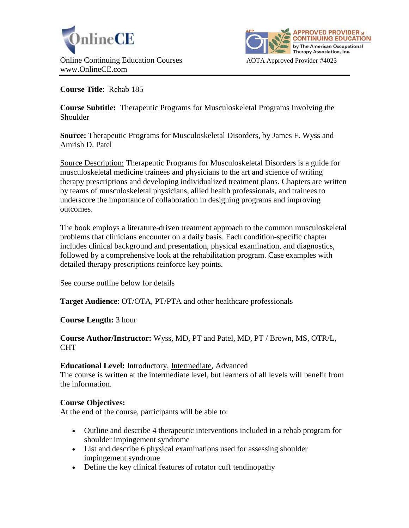



**Course Title**: Rehab 185

**Course Subtitle:** Therapeutic Programs for Musculoskeletal Programs Involving the Shoulder

**Source:** Therapeutic Programs for Musculoskeletal Disorders, by James F. Wyss and Amrish D. Patel

Source Description: Therapeutic Programs for Musculoskeletal Disorders is a guide for musculoskeletal medicine trainees and physicians to the art and science of writing therapy prescriptions and developing individualized treatment plans. Chapters are written by teams of musculoskeletal physicians, allied health professionals, and trainees to underscore the importance of collaboration in designing programs and improving outcomes.

The book employs a literature-driven treatment approach to the common musculoskeletal problems that clinicians encounter on a daily basis. Each condition-specific chapter includes clinical background and presentation, physical examination, and diagnostics, followed by a comprehensive look at the rehabilitation program. Case examples with detailed therapy prescriptions reinforce key points.

See course outline below for details

**Target Audience**: OT/OTA, PT/PTA and other healthcare professionals

**Course Length:** 3 hour

## **Course Author/Instructor:** Wyss, MD, PT and Patel, MD, PT / Brown, MS, OTR/L, CHT

# **Educational Level:** Introductory, Intermediate, Advanced

The course is written at the intermediate level, but learners of all levels will benefit from the information.

# **Course Objectives:**

At the end of the course, participants will be able to:

- Outline and describe 4 therapeutic interventions included in a rehab program for shoulder impingement syndrome
- List and describe 6 physical examinations used for assessing shoulder impingement syndrome
- Define the key clinical features of rotator cuff tendinopathy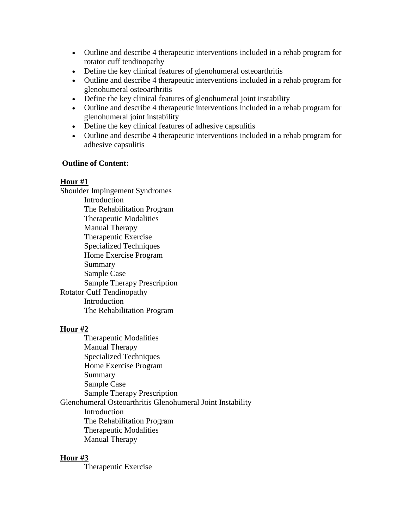- Outline and describe 4 therapeutic interventions included in a rehab program for rotator cuff tendinopathy
- Define the key clinical features of glenohumeral osteoarthritis
- Outline and describe 4 therapeutic interventions included in a rehab program for glenohumeral osteoarthritis
- Define the key clinical features of glenohumeral joint instability
- Outline and describe 4 therapeutic interventions included in a rehab program for glenohumeral joint instability
- Define the key clinical features of adhesive capsulitis
- Outline and describe 4 therapeutic interventions included in a rehab program for adhesive capsulitis

## **Outline of Content:**

## **Hour #1**

Shoulder Impingement Syndromes Introduction The Rehabilitation Program Therapeutic Modalities Manual Therapy Therapeutic Exercise Specialized Techniques Home Exercise Program Summary Sample Case Sample Therapy Prescription Rotator Cuff Tendinopathy Introduction The Rehabilitation Program

# **Hour #2**

Therapeutic Modalities Manual Therapy Specialized Techniques Home Exercise Program Summary Sample Case Sample Therapy Prescription Glenohumeral Osteoarthritis Glenohumeral Joint Instability Introduction The Rehabilitation Program Therapeutic Modalities Manual Therapy

# **Hour #3**

Therapeutic Exercise